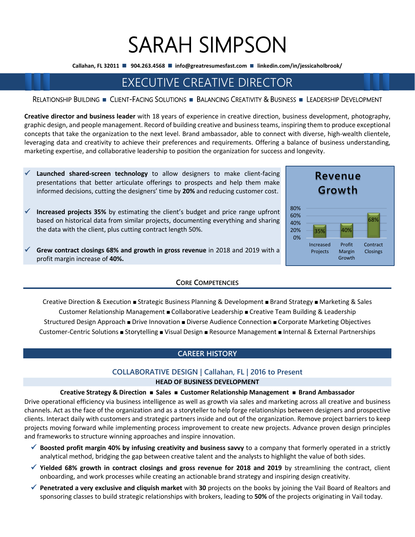# SARAH SIMPSON

**Callahan, FL 32011** ◼ **904.263.4568** ◼ **info@greatresumesfast.com** ◼ **linkedin.com/in/jessicaholbrook/**

# EXECUTIVE CREATIVE DIRECTOR

# RELATIONSHIP BUILDING ◼CLIENT-FACING SOLUTIONS ◼BALANCING CREATIVITY & BUSINESS ◼LEADERSHIP DEVELOPMENT

**Creative director and business leader** with 18 years of experience in creative direction, business development, photography, graphic design, and people management. Record of building creative and business teams, inspiring them to produce exceptional concepts that take the organization to the next level. Brand ambassador, able to connect with diverse, high-wealth clientele, leveraging data and creativity to achieve their preferences and requirements. Offering a balance of business understanding, marketing expertise, and collaborative leadership to position the organization for success and longevity.

- Launched shared-screen technology to allow designers to make client-facing presentations that better articulate offerings to prospects and help them make informed decisions, cutting the designers' time by **20%** and reducing customer cost.
- Increased projects 35% by estimating the client's budget and price range upfront based on historical data from similar projects, documenting everything and sharing the data with the client, plus cutting contract length 50%.
- ✓ **Grew contract closings 68% and growth in gross revenue** in 2018 and 2019 with a profit margin increase of **40%.**

# **CORE COMPETENCIES**

Creative Direction & Execution <sup>◼</sup> Strategic Business Planning & Development <sup>◼</sup> Brand Strategy <sup>◼</sup> Marketing & Sales Customer Relationship Management <sup>◼</sup> Collaborative Leadership <sup>◼</sup> Creative Team Building & Leadership Structured Design Approach <sup>◼</sup> Drive Innovation <sup>◼</sup> Diverse Audience Connection <sup>◼</sup> Corporate Marketing Objectives Customer-Centric Solutions <sup>◼</sup> Storytelling <sup>◼</sup> Visual Design <sup>◼</sup> Resource Management <sup>◼</sup> Internal & External Partnerships

# **CAREER HISTORY**

# **COLLABORATIVE DESIGN | Callahan, FL | 2016 to Present**

# **HEAD OF BUSINESS DEVELOPMENT**

#### **Creative Strategy & Direction** <sup>◼</sup> **Sales** <sup>◼</sup> **Customer Relationship Management** <sup>◼</sup> **Brand Ambassador**

Drive operational efficiency via business intelligence as well as growth via sales and marketing across all creative and business channels. Act as the face of the organization and as a storyteller to help forge relationships between designers and prospective clients. Interact daily with customers and strategic partners inside and out of the organization. Remove project barriers to keep projects moving forward while implementing process improvement to create new projects. Advance proven design principles and frameworks to structure winning approaches and inspire innovation.

- ✓ **Boosted profit margin 40% by infusing creativity and business savvy** to a company that formerly operated in a strictly analytical method, bridging the gap between creative talent and the analysts to highlight the value of both sides.
- ✓ **Yielded 68% growth in contract closings and gross revenue for 2018 and 2019** by streamlining the contract, client onboarding, and work processes while creating an actionable brand strategy and inspiring design creativity.
- ✓ **Penetrated a very exclusive and cliquish market** with **30** projects on the books by joining the Vail Board of Realtors and sponsoring classes to build strategic relationships with brokers, leading to **50%** of the projects originating in Vail today.